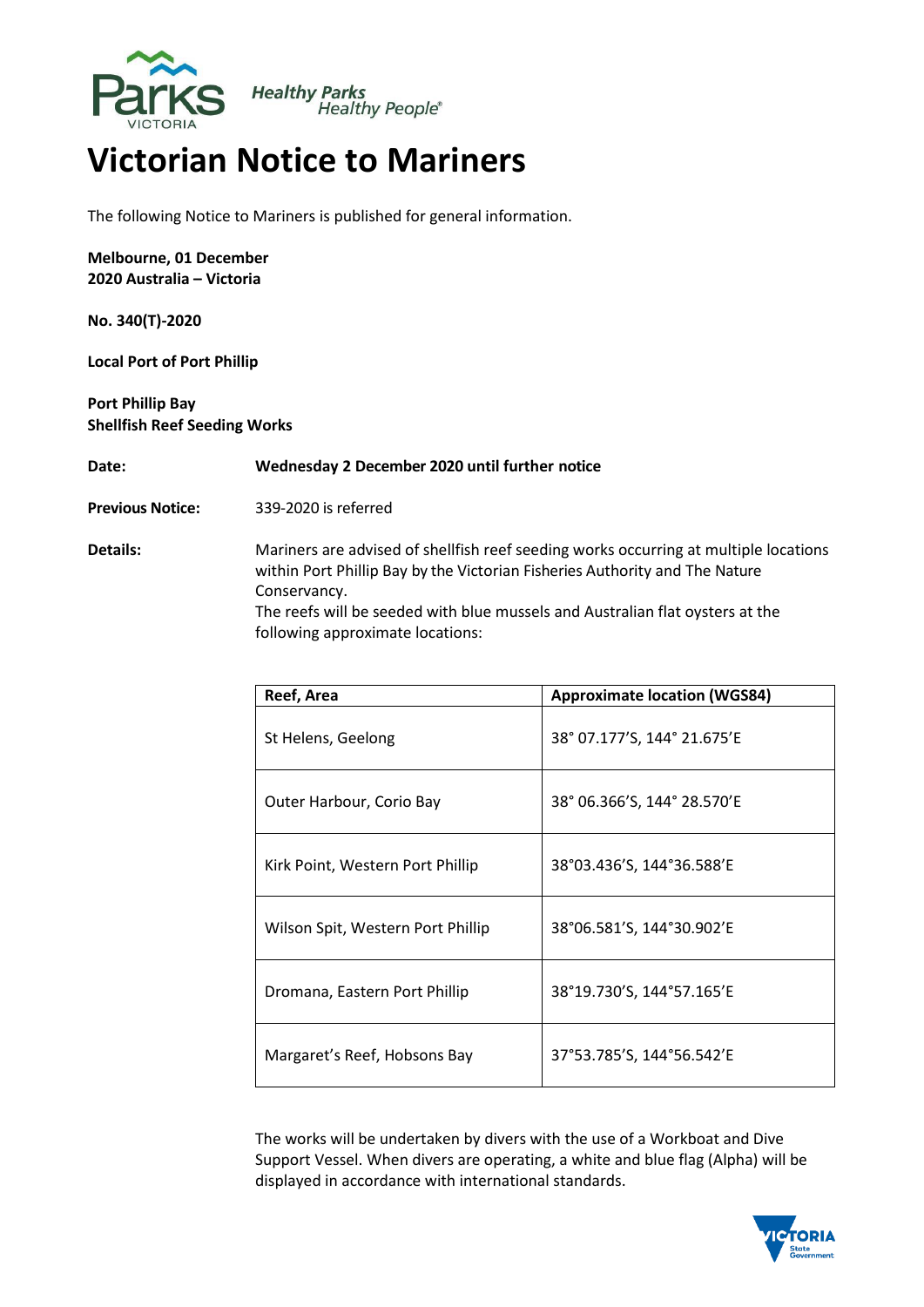

## **Victorian Notice to Mariners**

The following Notice to Mariners is published for general information.

**Melbourne, 01 December 2020 Australia – Victoria**

**No. 340(T)-2020**

**Local Port of Port Phillip** 

**Port Phillip Bay Shellfish Reef Seeding Works**

**Date: Wednesday 2 December 2020 until further notice**

**Previous Notice:** 339-2020 is referred

**Details:** Mariners are advised of shellfish reef seeding works occurring at multiple locations within Port Phillip Bay by the Victorian Fisheries Authority and The Nature Conservancy. The reefs will be seeded with blue mussels and Australian flat oysters at the following approximate locations:

| Reef, Area                        | <b>Approximate location (WGS84)</b> |
|-----------------------------------|-------------------------------------|
| St Helens, Geelong                | 38° 07.177'S, 144° 21.675'E         |
| Outer Harbour, Corio Bay          | 38° 06.366'S, 144° 28.570'E         |
| Kirk Point, Western Port Phillip  | 38°03.436'S, 144°36.588'E           |
| Wilson Spit, Western Port Phillip | 38°06.581'S, 144°30.902'E           |
| Dromana, Eastern Port Phillip     | 38°19.730'S, 144°57.165'E           |
| Margaret's Reef, Hobsons Bay      | 37°53.785'S, 144°56.542'E           |

The works will be undertaken by divers with the use of a Workboat and Dive Support Vessel. When divers are operating, a white and blue flag (Alpha) will be displayed in accordance with international standards.